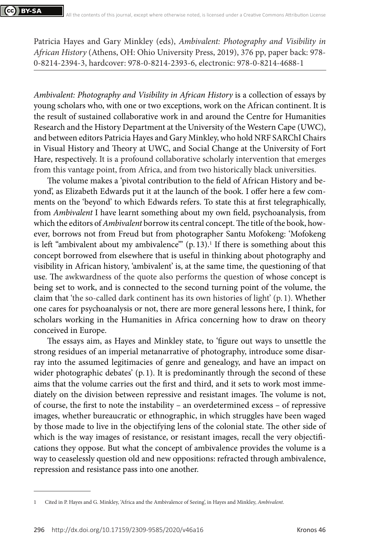Patricia Hayes and Gary Minkley (eds), *Ambivalent: Photography and Visibility in African History* (Athens, OH: Ohio University Press, 2019), 376 pp, paper back: 978- 0-8214-2394-3, hardcover: 978-0-8214-2393-6, electronic: 978-0-8214-4688-1

*Ambivalent: Photography and Visibility in African History* is a collection of essays by young scholars who, with one or two exceptions, work on the African continent. It is the result of sustained collaborative work in and around the Centre for Humanities Research and the History Department at the University of the Western Cape (UWC), and between editors Patricia Hayes and Gary Minkley, who hold NRF SARChI Chairs in Visual History and Theory at UWC, and Social Change at the University of Fort Hare, respectively. It is a profound collaborative scholarly intervention that emerges from this vantage point, from Africa, and from two historically black universities.

The volume makes a 'pivotal contribution to the field of African History and beyond', as Elizabeth Edwards put it at the launch of the book. I offer here a few comments on the 'beyond' to which Edwards refers. To state this at first telegraphically, from *Ambivalent* I have learnt something about my own field, psychoanalysis, from which the editors of *Ambivalent* borrow its central concept. The title of the book, however, borrows not from Freud but from photographer Santu Mofokeng: 'Mofokeng is left "ambivalent about my ambivalence"' (p. 13).<sup>1</sup> If there is something about this concept borrowed from elsewhere that is useful in thinking about photography and visibility in African history, 'ambivalent' is, at the same time, the questioning of that use. The awkwardness of the quote also performs the question of whose concept is being set to work, and is connected to the second turning point of the volume, the claim that 'the so-called dark continent has its own histories of light' (p. 1). Whether one cares for psychoanalysis or not, there are more general lessons here, I think, for scholars working in the Humanities in Africa concerning how to draw on theory conceived in Europe.

The essays aim, as Hayes and Minkley state, to 'figure out ways to unsettle the strong residues of an imperial metanarrative of photography, introduce some disarray into the assumed legitimacies of genre and genealogy, and have an impact on wider photographic debates' (p. 1). It is predominantly through the second of these aims that the volume carries out the first and third, and it sets to work most immediately on the division between repressive and resistant images. The volume is not, of course, the first to note the instability – an overdetermined excess – of repressive images, whether bureaucratic or ethnographic, in which struggles have been waged by those made to live in the objectifying lens of the colonial state. The other side of which is the way images of resistance, or resistant images, recall the very objectifications they oppose. But what the concept of ambivalence provides the volume is a way to ceaselessly question old and new oppositions: refracted through ambivalence, repression and resistance pass into one another.

<sup>1</sup> Cited in P. Hayes and G. Minkley, 'Africa and the Ambivalence of Seeing', in Hayes and Minkley, *Ambivalent*.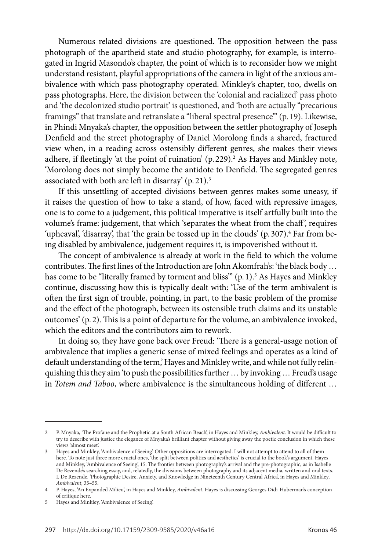Numerous related divisions are questioned. The opposition between the pass photograph of the apartheid state and studio photography, for example, is interrogated in Ingrid Masondo's chapter, the point of which is to reconsider how we might understand resistant, playful appropriations of the camera in light of the anxious ambivalence with which pass photography operated. Minkley's chapter, too, dwells on pass photographs. Here, the division between the 'colonial and racialized' pass photo and 'the decolonized studio portrait' is questioned, and 'both are actually "precarious framings" that translate and retranslate a "liberal spectral presence" (p. 19). Likewise, in Phindi Mnyaka's chapter, the opposition between the settler photography of Joseph Denfield and the street photography of Daniel Morolong finds a shared, fractured view when, in a reading across ostensibly different genres, she makes their views adhere, if fleetingly 'at the point of ruination' (p.229).<sup>2</sup> As Hayes and Minkley note, 'Morolong does not simply become the antidote to Denfield. The segregated genres associated with both are left in disarray' (p. 21).3

If this unsettling of accepted divisions between genres makes some uneasy, if it raises the question of how to take a stand, of how, faced with repressive images, one is to come to a judgement, this political imperative is itself artfully built into the volume's frame: judgement, that which 'separates the wheat from the chaff ', requires 'upheaval', 'disarray', that 'the grain be tossed up in the clouds' (p. 307).<sup>4</sup> Far from being disabled by ambivalence, judgement requires it, is impoverished without it.

The concept of ambivalence is already at work in the field to which the volume contributes. The first lines of the Introduction are John Akomfrah's: 'the black body … has come to be "literally framed by torment and bliss"' (p. 1).<sup>5</sup> As Hayes and Minkley continue, discussing how this is typically dealt with: 'Use of the term ambivalent is often the first sign of trouble, pointing, in part, to the basic problem of the promise and the effect of the photograph, between its ostensible truth claims and its unstable outcomes' (p. 2). This is a point of departure for the volume, an ambivalence invoked, which the editors and the contributors aim to rework.

In doing so, they have gone back over Freud: 'There is a general-usage notion of ambivalence that implies a generic sense of mixed feelings and operates as a kind of default understanding of the term,' Hayes and Minkley write, and while not fully relinquishing this they aim 'to push the possibilities further … by invoking … Freud's usage in *Totem and Taboo*, where ambivalence is the simultaneous holding of different …

<sup>2</sup> P. Mnyaka, 'The Profane and the Prophetic at a South African Beach', in Hayes and Minkley, *Ambivalent*. It would be difficult to try to describe with justice the elegance of Mnyaka's brilliant chapter without giving away the poetic conclusion in which these views 'almost meet'.

Hayes and Minkley, 'Ambivalence of Seeing'. Other oppositions are interrogated. I will not attempt to attend to all of them here. To note just three more crucial ones, 'the split between politics and aesthetics' is crucial to the book's argument. Hayes and Minkley, 'Ambivalence of Seeing', 15. The frontier between photography's arrival and the pre-photographic, as in Isabelle De Rezende's searching essay, and, relatedly, the divisions between photography and its adjacent media, written and oral texts. I. De Rezende, 'Photographic Desire, Anxiety, and Knowledge in Nineteenth Century Central Africa', in Hayes and Minkley, *Ambivalent*, 35–55.

<sup>4</sup> P. Hayes, 'An Expanded Milieu', in Hayes and Minkley, *Ambivalent*. Hayes is discussing Georges Didi-Huberman's conception of critique here.

<sup>5</sup> Hayes and Minkley, 'Ambivalence of Seeing'.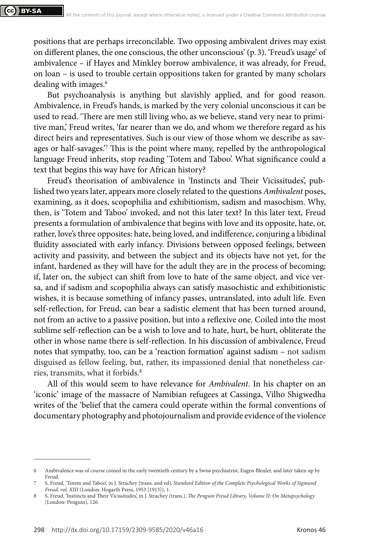positions that are perhaps irreconcilable. Two opposing ambivalent drives may exist on different planes, the one conscious, the other unconscious' (p. 3). 'Freud's usage' of ambivalence – if Hayes and Minkley borrow ambivalence, it was already, for Freud, on loan – is used to trouble certain oppositions taken for granted by many scholars dealing with images.<sup>6</sup>

But psychoanalysis is anything but slavishly applied, and for good reason. Ambivalence, in Freud's hands, is marked by the very colonial unconscious it can be used to read. 'There are men still living who, as we believe, stand very near to primitive man,' Freud writes, 'far nearer than we do, and whom we therefore regard as his direct heirs and representatives. Such is our view of those whom we describe as savages or half-savages.'7 This is the point where many, repelled by the anthropological language Freud inherits, stop reading 'Totem and Taboo'. What significance could a text that begins this way have for African history?

Freud's theorisation of ambivalence in 'Instincts and Their Vicissitudes', published two years later, appears more closely related to the questions *Ambivalent* poses, examining, as it does, scopophilia and exhibitionism, sadism and masochism. Why, then, is 'Totem and Taboo' invoked, and not this later text? In this later text, Freud presents a formulation of ambivalence that begins with love and its opposite, hate, or, rather, love's three opposites: hate, being loved, and indifference, conjuring a libidinal fluidity associated with early infancy. Divisions between opposed feelings, between activity and passivity, and between the subject and its objects have not yet, for the infant, hardened as they will have for the adult they are in the process of becoming; if, later on, the subject can shift from love to hate of the same object, and vice versa, and if sadism and scopophilia always can satisfy masochistic and exhibitionistic wishes, it is because something of infancy passes, untranslated, into adult life. Even self-reflection, for Freud, can bear a sadistic element that has been turned around, not from an active to a passive position, but into a reflexive one. Coiled into the most sublime self-reflection can be a wish to love and to hate, hurt, be hurt, obliterate the other in whose name there is self-reflection. In his discussion of ambivalence, Freud notes that sympathy, too, can be a 'reaction formation' against sadism – not sadism disguised as fellow feeling, but, rather, its impassioned denial that nonetheless carries, transmits, what it forbids. 8

All of this would seem to have relevance for *Ambivalent*. In his chapter on an 'iconic' image of the massacre of Namibian refugees at Cassinga, Vilho Shigwedha writes of the 'belief that the camera could operate within the formal conventions of documentary photography and photojournalism and provide evidence of the violence

<sup>6</sup> Ambivalence was of course coined in the early twentieth century by a Swiss psychiatrist, Eugen Bleuler, and later taken up by Freud.

<sup>7</sup> S. Freud, 'Totem and Taboo', in J. Strachey (trans. and ed), *Standard Edition of the Complete Psychological Works of Sigmund Freud, vol. XIII* (London: Hogarth Press, 1953 [1913]), 1.

<sup>8</sup> S. Freud, 'Instincts and Their Vicissitudes', in J. Strachey (trans.), *The Penguin Freud Library, Volume II: On Metapsychology* (London: Penguin), 126.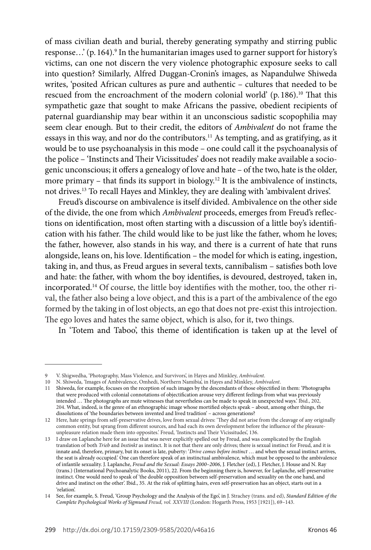of mass civilian death and burial, thereby generating sympathy and stirring public response...' (p. 164).<sup>9</sup> In the humanitarian images used to garner support for history's victims, can one not discern the very violence photographic exposure seeks to call into question? Similarly, Alfred Duggan-Cronin's images, as Napandulwe Shiweda writes, 'posited African cultures as pure and authentic – cultures that needed to be rescued from the encroachment of the modern colonial world'  $(p. 186)$ .<sup>10</sup> That this sympathetic gaze that sought to make Africans the passive, obedient recipients of paternal guardianship may bear within it an unconscious sadistic scopophilia may seem clear enough. But to their credit, the editors of *Ambivalent* do not frame the essays in this way, and nor do the contributors.<sup>11</sup> As tempting, and as gratifying, as it would be to use psychoanalysis in this mode – one could call it the psychoanalysis of the police – 'Instincts and Their Vicissitudes' does not readily make available a sociogenic unconscious; it offers a genealogy of love and hate – of the two, hate is the older, more primary – that finds its support in biology.<sup>12</sup> It is the ambivalence of instincts, not drives.13 To recall Hayes and Minkley, they are dealing with 'ambivalent drives'.

Freud's discourse on ambivalence is itself divided. Ambivalence on the other side of the divide, the one from which *Ambivalent* proceeds, emerges from Freud's reflections on identification, most often starting with a discussion of a little boy's identification with his father. The child would like to be just like the father, whom he loves; the father, however, also stands in his way, and there is a current of hate that runs alongside, leans on, his love. Identification – the model for which is eating, ingestion, taking in, and thus, as Freud argues in several texts, cannibalism – satisfies both love and hate: the father, with whom the boy identifies, is devoured, destroyed, taken in, incorporated.14 Of course, the little boy identifies with the mother, too, the other rival, the father also being a love object, and this is a part of the ambivalence of the ego formed by the taking in of lost objects, an ego that does not pre-exist this introjection. The ego loves and hates the same object, which is also, for it, two things.

In 'Totem and Taboo', this theme of identification is taken up at the level of

<sup>9</sup> V. Shigwedha, 'Photography, Mass Violence, and Survivors', in Hayes and Minkley, *Ambivalent*.

<sup>10</sup> N. Shiweda, 'Images of Ambivalence, Omhedi, Northern Namibia', in Hayes and Minkley, *Ambivalent*.

<sup>11</sup> Shiweda, for example, focuses on the reception of such images by the descendants of those objectified in them: 'Photographs that were produced with colonial connotations of objectification arouse very different feelings from what was previously intended … The photographs are mute witnesses that nevertheless can be made to speak in unexpected ways.' Ibid., 202, 204. What, indeed, is the genre of an ethnographic image whose mortified objects speak – about, among other things, the dissolutions of 'the boundaries between invented and lived tradition' – across generations?

<sup>12</sup> Here, hate springs from self-preservative drives, love from sexual drives: 'They did not arise from the cleavage of any originally common entity, but sprang from different sources, and had each its own development before the influence of the pleasureunpleasure relation made them into opposites.' Freud, 'Instincts and Their Vicissitudes', 136.

<sup>13</sup> I draw on Laplanche here for an issue that was never explicitly spelled out by Freud, and was complicated by the English translation of both *Trieb* and *Instinkt* as instinct. It is not that there are only drives; there is sexual instinct for Freud, and it is innate and, therefore, primary, but its onset is late, puberty: '*Drive comes before instinct* … and when the sexual instinct arrives, the seat is already occupied.' One can therefore speak of an instinctual ambivalence, which must be opposed to the ambivalence of infantile sexuality. J. Laplanche, *Freud and the Sexual: Essays 2000–2006*, J. Fletcher (ed), J. Fletcher, J. House and N. Ray (trans.) (International Psychoanalytic Books, 2011), 22. From the beginning there is, however, for Laplanche, self-preservative instinct. One would need to speak of 'the double opposition between self-preservation and sexuality on the one hand, and drive and instinct on the other'. Ibid., 35. At the risk of splitting hairs, even self-preservation has an object, starts out in a 'relation'.

<sup>14</sup> See, for example, S. Freud, 'Group Psychology and the Analysis of the Ego', in J. Strachey (trans. and ed), *Standard Edition of the Complete Psychological Works of Sigmund Freud, vol. XXVIII* (London: Hogarth Press, 1953 [1921]), 69–143.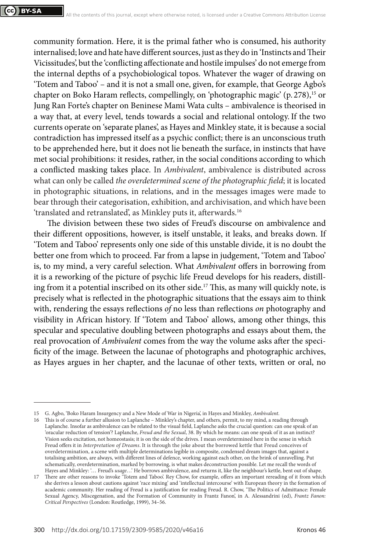community formation. Here, it is the primal father who is consumed, his authority internalised; love and hate have different sources, just as they do in 'Instincts and Their Vicissitudes', but the 'conflicting affectionate and hostile impulses' do not emerge from the internal depths of a psychobiological topos. Whatever the wager of drawing on 'Totem and Taboo' – and it is not a small one, given, for example, that George Agbo's chapter on Boko Haram reflects, compellingly, on 'photographic magic' (p. 278),<sup>15</sup> or Jung Ran Forte's chapter on Beninese Mami Wata cults – ambivalence is theorised in a way that, at every level, tends towards a social and relational ontology. If the two currents operate on 'separate planes', as Hayes and Minkley state, it is because a social contradiction has impressed itself as a psychic conflict; there is an unconscious truth to be apprehended here, but it does not lie beneath the surface, in instincts that have met social prohibitions: it resides, rather, in the social conditions according to which a conflicted masking takes place. In *Ambivalent*, ambivalence is distributed across what can only be called *the overdetermined scene of the photographic field*; it is located in photographic situations, in relations, and in the messages images were made to bear through their categorisation, exhibition, and archivisation, and which have been 'translated and retranslated', as Minkley puts it, afterwards.16

The division between these two sides of Freud's discourse on ambivalence and their different oppositions, however, is itself unstable, it leaks, and breaks down. If 'Totem and Taboo' represents only one side of this unstable divide, it is no doubt the better one from which to proceed. Far from a lapse in judgement, 'Totem and Taboo' is, to my mind, a very careful selection. What *Ambivalent* offers in borrowing from it is a reworking of the picture of psychic life Freud develops for his readers, distilling from it a potential inscribed on its other side.<sup>17</sup> This, as many will quickly note, is precisely what is reflected in the photographic situations that the essays aim to think with, rendering the essays reflections *of* no less than reflections *on* photography and visibility in African history. If 'Totem and Taboo' allows, among other things, this specular and speculative doubling between photographs and essays about them, the real provocation of *Ambivalent* comes from the way the volume asks after the specificity of the image. Between the lacunae of photographs and photographic archives, as Hayes argues in her chapter, and the lacunae of other texts, written or oral, no

<sup>15</sup> G. Agbo, 'Boko Haram Insurgency and a New Mode of War in Nigeria', in Hayes and Minkley, *Ambivalent*.

<sup>16</sup> This is of course a further allusion to Laplanche – Minkley's chapter, and others, permit, to my mind, a reading through Laplanche. Insofar as ambivalence can be related to the visual field, Laplanche asks the crucial question: can one speak of an 'oracular reduction of tension'? Laplanche, *Freud and the Sexual*, 38. By which he means: can one speak of it as an instinct? Vision seeks excitation, not homeostasis; it is on the side of the drives. I mean overdetermined here in the sense in which Freud offers it in *Interpretation of Dreams*. It is through the joke about the borrowed kettle that Freud conceives of overdetermination, a scene with multiple determinations legible in composite, condensed dream images that, against a totalising ambition, are always, with different lines of defence, working against each other, on the brink of unravelling. Put schematically, overdetermination, marked by borrowing, is what makes deconstruction possible. Let me recall the words of Hayes and Minkley: '… Freud's *usage*…' He borrows ambivalence, and returns it, like the neighbour's kettle, bent out of shape.

<sup>17</sup> There are other reasons to invoke 'Totem and Taboo'. Rey Chow, for example, offers an important rereading of it from which she derives a lesson about cautions against 'race mixing' and 'intellectual intercourse' with European theory in the formation of academic community. Her reading of Freud is a justification for reading Freud. R. Chow, 'The Politics of Admittance: Female Sexual Agency, Miscegenation, and the Formation of Community in Frantz Fanon', in A. Alessandrini (ed), *Frantz Fanon: Critical Perspectives* (London: Routledge, 1999), 34–56.